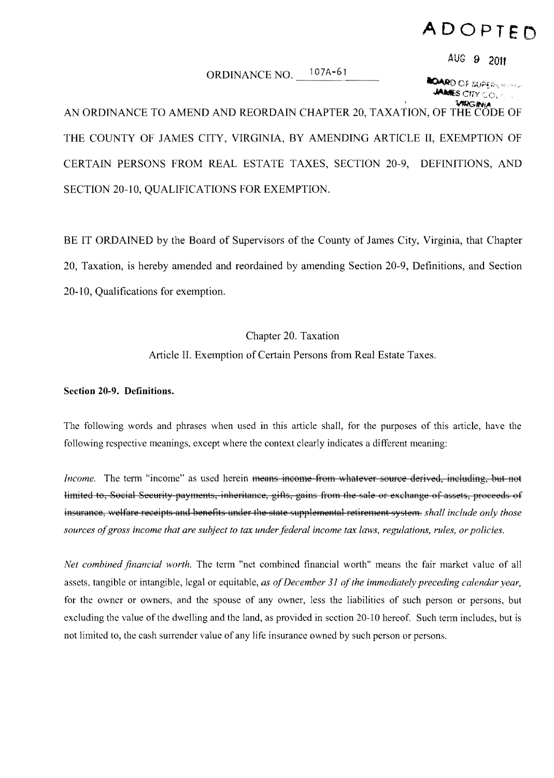# **ADOPTED**

## ORDINANCE NO. 107A-61

**AUG 9 2011** 

**COARD OF SUPERVALLED** *MANES CITY CO.* 

AN ORDINANCE TO AMEND AND REORDAIN CHAPTER 20, TAXATION, OF THE CODE OF THE COUNTY OF JAMES CITY, VIRGINIA, BY AMENDING ARTICLE II, EXEMPTION OF CERTAIN PERSONS FROM REAL ESTATE TAXES, SECTION 20-9, DEFINITIONS, AND SECTION 20-10, QUALIFICATIONS FOR EXEMPTION.

BE IT ORDAINED by the Board of Supervisors of the County of James City, Virginia, that Chapter 20, Taxation, is hereby amended and reordained by amending Section 20-9, Definitions, and Section 20-10, Qualifications for exemption.

## Chapter 20. Taxation

Article II. Exemption of Certain Persons from Real Estate Taxes.

### Section 20-9. Definitions.

The following words and phrases when used in this article shall, for the purposes of this article, have the following respective meanings, except where the context clearly indicates a different meaning:

*Income.* The term "income" as used herein <del>means income from whatever source derived, including, but not</del> limited to, Social Security payments, inheritance, gifts, gains from the sale or exchange of assets, proceeds of insurance, welfare receipts and benefits under the state supplemental retirement system. *shall include only those* sources of gross income that are subject to tax under federal income tax laws, regulations, rules, or policies.

*Net combined financial worth*. The term "net combined financial worth" means the fair market value of all assets, tangible or intangible, legal or equitable, *as ofDecember* 31 *ofthe immediately preceding calendar year,*  for the owner or owners, and the spouse of any owner, less the liabilities of such person or persons, but excluding the value of the dwelling and the land, as provided in section 20-10 hereof. Such term includes, but is not limited to, the cash surrender value of any life insurance owned by such person or persons.